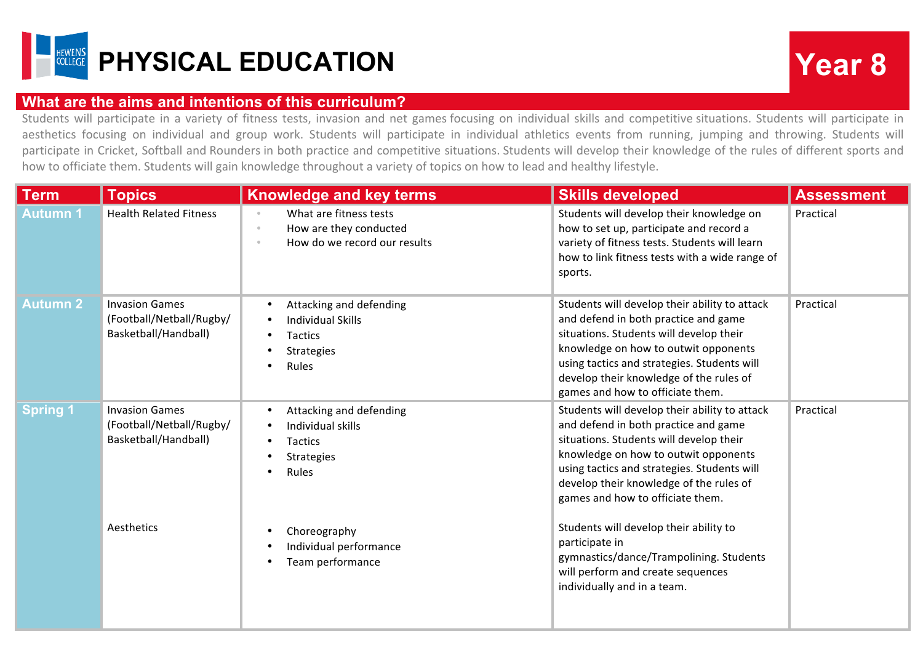

## **What are the aims and intentions of this curriculum?**

Students will participate in a variety of fitness tests, invasion and net games focusing on individual skills and competitive situations. Students will participate in aesthetics focusing on individual and group work. Students will participate in individual athletics events from running, jumping and throwing. Students will participate in Cricket, Softball and Rounders in both practice and competitive situations. Students will develop their knowledge of the rules of different sports and how to officiate them. Students will gain knowledge throughout a variety of topics on how to lead and healthy lifestyle.

| <b>Term</b>     | <b>Topics</b>                                                             | <b>Knowledge and key terms</b>                                                                                             | <b>Skills developed</b>                                                                                                                                                                                                                                                                                | <b>Assessment</b> |
|-----------------|---------------------------------------------------------------------------|----------------------------------------------------------------------------------------------------------------------------|--------------------------------------------------------------------------------------------------------------------------------------------------------------------------------------------------------------------------------------------------------------------------------------------------------|-------------------|
| <b>Autumn1</b>  | <b>Health Related Fitness</b>                                             | What are fitness tests<br>$_{\odot}$<br>How are they conducted<br>$_{\odot}$<br>How do we record our results<br>$_{\odot}$ | Students will develop their knowledge on<br>how to set up, participate and record a<br>variety of fitness tests. Students will learn<br>how to link fitness tests with a wide range of<br>sports.                                                                                                      | Practical         |
| <b>Autumn 2</b> | <b>Invasion Games</b><br>(Football/Netball/Rugby/<br>Basketball/Handball) | Attacking and defending<br><b>Individual Skills</b><br>$\bullet$<br>Tactics<br><b>Strategies</b><br>Rules<br>$\bullet$     | Students will develop their ability to attack<br>and defend in both practice and game<br>situations. Students will develop their<br>knowledge on how to outwit opponents<br>using tactics and strategies. Students will<br>develop their knowledge of the rules of<br>games and how to officiate them. | Practical         |
| <b>Spring 1</b> | <b>Invasion Games</b><br>(Football/Netball/Rugby/<br>Basketball/Handball) | Attacking and defending<br>Individual skills<br>Tactics<br>Strategies<br>$\bullet$<br>Rules<br>$\bullet$                   | Students will develop their ability to attack<br>and defend in both practice and game<br>situations. Students will develop their<br>knowledge on how to outwit opponents<br>using tactics and strategies. Students will<br>develop their knowledge of the rules of<br>games and how to officiate them. | Practical         |
|                 | Aesthetics                                                                | Choreography<br>Individual performance<br>Team performance<br>$\bullet$                                                    | Students will develop their ability to<br>participate in<br>gymnastics/dance/Trampolining. Students<br>will perform and create sequences<br>individually and in a team.                                                                                                                                |                   |